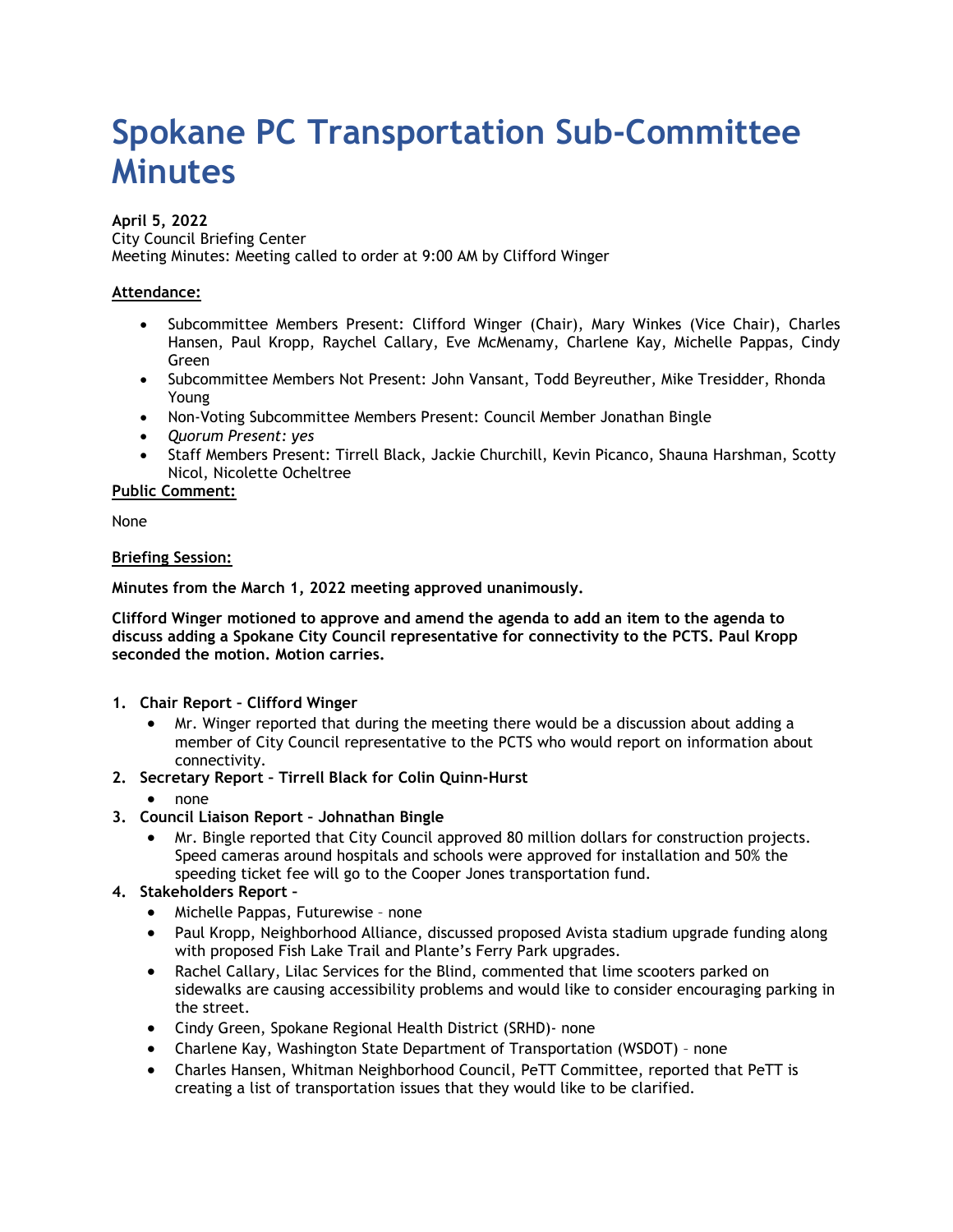# **Spokane PC Transportation Sub-Committee Minutes**

#### **April 5, 2022** City Council Briefing Center Meeting Minutes: Meeting called to order at 9:00 AM by Clifford Winger

# **Attendance:**

- Subcommittee Members Present: Clifford Winger (Chair), Mary Winkes (Vice Chair), Charles Hansen, Paul Kropp, Raychel Callary, Eve McMenamy, Charlene Kay, Michelle Pappas, Cindy Green
- Subcommittee Members Not Present: John Vansant, Todd Beyreuther, Mike Tresidder, Rhonda Young
- Non-Voting Subcommittee Members Present: Council Member Jonathan Bingle
- *Quorum Present: yes*
- Staff Members Present: Tirrell Black, Jackie Churchill, Kevin Picanco, Shauna Harshman, Scotty Nicol, Nicolette Ocheltree

## **Public Comment:**

None

#### **Briefing Session:**

**Minutes from the March 1, 2022 meeting approved unanimously.**

**Clifford Winger motioned to approve and amend the agenda to add an item to the agenda to discuss adding a Spokane City Council representative for connectivity to the PCTS. Paul Kropp seconded the motion. Motion carries.** 

- **1. Chair Report – Clifford Winger**
	- Mr. Winger reported that during the meeting there would be a discussion about adding a member of City Council representative to the PCTS who would report on information about connectivity.
- **2. Secretary Report – Tirrell Black for Colin Quinn-Hurst**
	- none
- **3. Council Liaison Report – Johnathan Bingle** 
	- Mr. Bingle reported that City Council approved 80 million dollars for construction projects. Speed cameras around hospitals and schools were approved for installation and 50% the speeding ticket fee will go to the Cooper Jones transportation fund.

## **4. Stakeholders Report –**

- Michelle Pappas, Futurewise none
- Paul Kropp, Neighborhood Alliance, discussed proposed Avista stadium upgrade funding along with proposed Fish Lake Trail and Plante's Ferry Park upgrades.
- Rachel Callary, Lilac Services for the Blind, commented that lime scooters parked on sidewalks are causing accessibility problems and would like to consider encouraging parking in the street.
- Cindy Green, Spokane Regional Health District (SRHD)- none
- Charlene Kay, Washington State Department of Transportation (WSDOT) none
- Charles Hansen, Whitman Neighborhood Council, PeTT Committee, reported that PeTT is creating a list of transportation issues that they would like to be clarified.